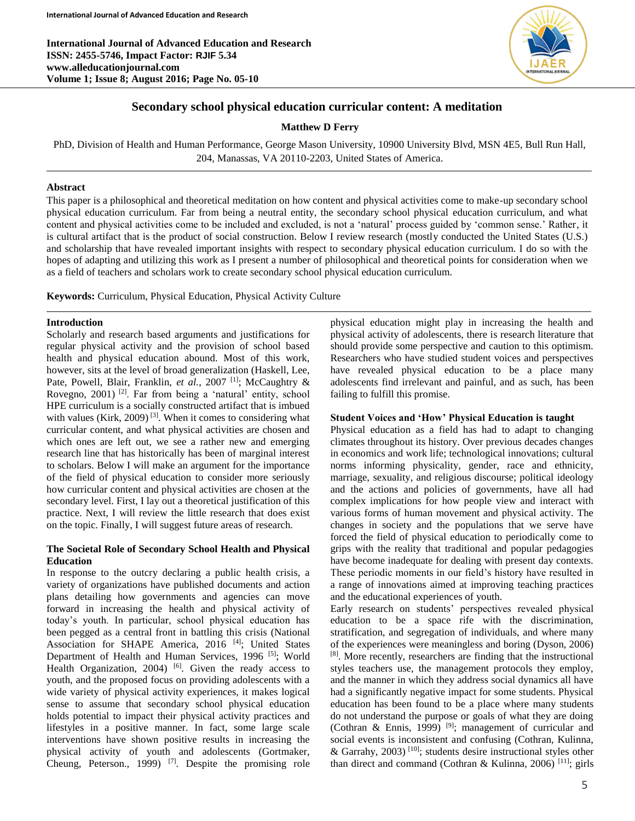**International Journal of Advanced Education and Research ISSN: 2455-5746, Impact Factor: RJIF 5.34 www.alleducationjournal.com Volume 1; Issue 8; August 2016; Page No. 05-10**



# **Secondary school physical education curricular content: A meditation**

**Matthew D Ferry**

PhD, Division of Health and Human Performance, George Mason University, 10900 University Blvd, MSN 4E5, Bull Run Hall, 204, Manassas, VA 20110-2203, United States of America.

## **Abstract**

This paper is a philosophical and theoretical meditation on how content and physical activities come to make-up secondary school physical education curriculum. Far from being a neutral entity, the secondary school physical education curriculum, and what content and physical activities come to be included and excluded, is not a 'natural' process guided by 'common sense.' Rather, it is cultural artifact that is the product of social construction. Below I review research (mostly conducted the United States (U.S.) and scholarship that have revealed important insights with respect to secondary physical education curriculum. I do so with the hopes of adapting and utilizing this work as I present a number of philosophical and theoretical points for consideration when we as a field of teachers and scholars work to create secondary school physical education curriculum.

**Keywords:** Curriculum, Physical Education, Physical Activity Culture

#### **Introduction**

Scholarly and research based arguments and justifications for regular physical activity and the provision of school based health and physical education abound. Most of this work, however, sits at the level of broad generalization (Haskell, Lee, Pate, Powell, Blair, Franklin, et al., 2007<sup>[1]</sup>; McCaughtry & Rovegno, 2001)<sup>[2]</sup>. Far from being a 'natural' entity, school HPE curriculum is a socially constructed artifact that is imbued with values (Kirk, 2009)<sup>[3]</sup>. When it comes to considering what curricular content, and what physical activities are chosen and which ones are left out, we see a rather new and emerging research line that has historically has been of marginal interest to scholars. Below I will make an argument for the importance of the field of physical education to consider more seriously how curricular content and physical activities are chosen at the secondary level. First, I lay out a theoretical justification of this practice. Next, I will review the little research that does exist on the topic. Finally, I will suggest future areas of research.

### **The Societal Role of Secondary School Health and Physical Education**

In response to the outcry declaring a public health crisis, a variety of organizations have published documents and action plans detailing how governments and agencies can move forward in increasing the health and physical activity of today's youth. In particular, school physical education has been pegged as a central front in battling this crisis (National Association for SHAPE America, 2016<sup>[4]</sup>; United States Department of Health and Human Services, 1996<sup>[5]</sup>; World Health Organization, 2004)  $[6]$ . Given the ready access to youth, and the proposed focus on providing adolescents with a wide variety of physical activity experiences, it makes logical sense to assume that secondary school physical education holds potential to impact their physical activity practices and lifestyles in a positive manner. In fact, some large scale interventions have shown positive results in increasing the physical activity of youth and adolescents (Gortmaker, Cheung, Peterson., 1999)  $[7]$ . Despite the promising role

physical education might play in increasing the health and physical activity of adolescents, there is research literature that should provide some perspective and caution to this optimism. Researchers who have studied student voices and perspectives have revealed physical education to be a place many adolescents find irrelevant and painful, and as such, has been failing to fulfill this promise.

#### **Student Voices and 'How' Physical Education is taught**

Physical education as a field has had to adapt to changing climates throughout its history. Over previous decades changes in economics and work life; technological innovations; cultural norms informing physicality, gender, race and ethnicity, marriage, sexuality, and religious discourse; political ideology and the actions and policies of governments, have all had complex implications for how people view and interact with various forms of human movement and physical activity. The changes in society and the populations that we serve have forced the field of physical education to periodically come to grips with the reality that traditional and popular pedagogies have become inadequate for dealing with present day contexts. These periodic moments in our field's history have resulted in a range of innovations aimed at improving teaching practices and the educational experiences of youth.

Early research on students' perspectives revealed physical education to be a space rife with the discrimination, stratification, and segregation of individuals, and where many of the experiences were meaningless and boring (Dyson, 2006) [8] . More recently, researchers are finding that the instructional styles teachers use, the management protocols they employ, and the manner in which they address social dynamics all have had a significantly negative impact for some students. Physical education has been found to be a place where many students do not understand the purpose or goals of what they are doing (Cothran & Ennis, 1999)<sup>[9]</sup>; management of curricular and social events is inconsistent and confusing (Cothran, Kulinna, & Garrahy, 2003)<sup>[10]</sup>; students desire instructional styles other than direct and command (Cothran & Kulinna, 2006) <sup>[11]</sup>; girls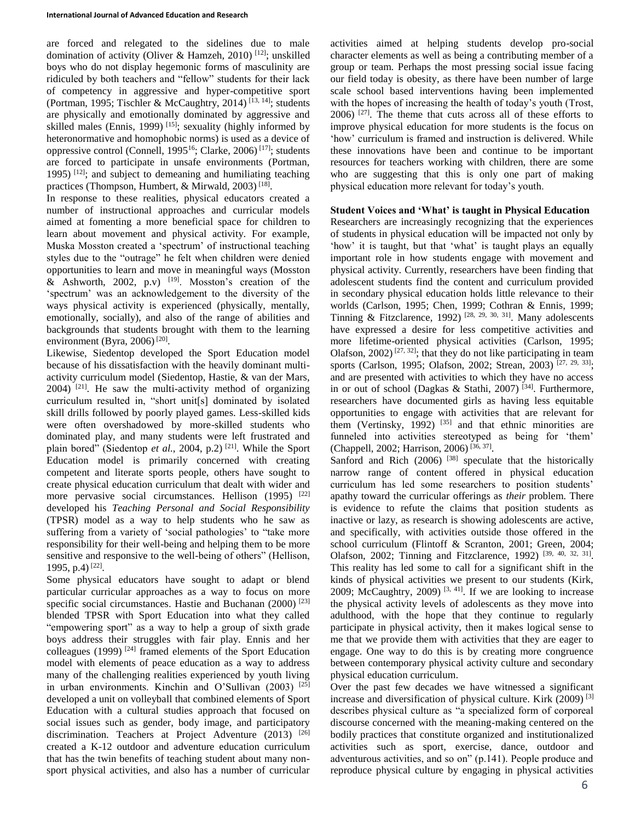are forced and relegated to the sidelines due to male domination of activity (Oliver & Hamzeh, 2010)<sup>[12]</sup>; unskilled boys who do not display hegemonic forms of masculinity are ridiculed by both teachers and "fellow" students for their lack of competency in aggressive and hyper-competitive sport (Portman, 1995; Tischler & McCaughtry, 2014)<sup>[13, 14]</sup>; students are physically and emotionally dominated by aggressive and skilled males (Ennis, 1999)<sup>[15]</sup>; sexuality (highly informed by heteronormative and homophobic norms) is used as a device of oppressive control (Connell, 1995<sup>16</sup>; Clarke, 2006)<sup>[17]</sup>; students are forced to participate in unsafe environments (Portman, 1995)  $[12]$ ; and subject to demeaning and humiliating teaching practices (Thompson, Humbert, & Mirwald, 2003)<sup>[18]</sup>.

In response to these realities, physical educators created a number of instructional approaches and curricular models aimed at fomenting a more beneficial space for children to learn about movement and physical activity. For example, Muska Mosston created a 'spectrum' of instructional teaching styles due to the "outrage" he felt when children were denied opportunities to learn and move in meaningful ways (Mosston & Ashworth, 2002, p.v)  $[19]$ . Mosston's creation of the 'spectrum' was an acknowledgement to the diversity of the ways physical activity is experienced (physically, mentally, emotionally, socially), and also of the range of abilities and backgrounds that students brought with them to the learning environment (Byra, 2006)<sup>[20]</sup>.

Likewise, Siedentop developed the Sport Education model because of his dissatisfaction with the heavily dominant multiactivity curriculum model (Siedentop, Hastie, & van der Mars,  $2004$ )<sup>[21]</sup>. He saw the multi-activity method of organizing curriculum resulted in, "short unit[s] dominated by isolated skill drills followed by poorly played games. Less-skilled kids were often overshadowed by more-skilled students who dominated play, and many students were left frustrated and plain bored" (Siedentop *et al.*, 2004, p.2)<sup>[21]</sup>. While the Sport Education model is primarily concerned with creating competent and literate sports people, others have sought to create physical education curriculum that dealt with wider and more pervasive social circumstances. Hellison (1995) <sup>[22]</sup> developed his *Teaching Personal and Social Responsibility*  (TPSR) model as a way to help students who he saw as suffering from a variety of 'social pathologies' to "take more responsibility for their well-being and helping them to be more sensitive and responsive to the well-being of others" (Hellison, 1995, p.4)<sup>[22]</sup>.

Some physical educators have sought to adapt or blend particular curricular approaches as a way to focus on more specific social circumstances. Hastie and Buchanan  $(2000)$ <sup>[23]</sup> blended TPSR with Sport Education into what they called "empowering sport" as a way to help a group of sixth grade boys address their struggles with fair play. Ennis and her colleagues (1999)<sup>[24]</sup> framed elements of the Sport Education model with elements of peace education as a way to address many of the challenging realities experienced by youth living in urban environments. Kinchin and O'Sullivan  $(2003)$ <sup>[25]</sup> developed a unit on volleyball that combined elements of Sport Education with a cultural studies approach that focused on social issues such as gender, body image, and participatory discrimination. Teachers at Project Adventure (2013) [26] created a K-12 outdoor and adventure education curriculum that has the twin benefits of teaching student about many nonsport physical activities, and also has a number of curricular

activities aimed at helping students develop pro-social character elements as well as being a contributing member of a group or team. Perhaps the most pressing social issue facing our field today is obesity, as there have been number of large scale school based interventions having been implemented with the hopes of increasing the health of today's youth (Trost,  $2006$ )  $[27]$ . The theme that cuts across all of these efforts to improve physical education for more students is the focus on 'how' curriculum is framed and instruction is delivered. While these innovations have been and continue to be important resources for teachers working with children, there are some who are suggesting that this is only one part of making physical education more relevant for today's youth.

### **Student Voices and 'What' is taught in Physical Education**

Researchers are increasingly recognizing that the experiences of students in physical education will be impacted not only by 'how' it is taught, but that 'what' is taught plays an equally important role in how students engage with movement and physical activity. Currently, researchers have been finding that adolescent students find the content and curriculum provided in secondary physical education holds little relevance to their worlds (Carlson, 1995; Chen, 1999; Cothran & Ennis, 1999; Tinning & Fitzclarence, 1992)<sup>[28, 29, 30, 31]</sup>. Many adolescents have expressed a desire for less competitive activities and more lifetime-oriented physical activities (Carlson, 1995; Olafson, 2002)<sup>[27, 32]</sup>; that they do not like participating in team sports (Carlson, 1995; Olafson, 2002; Strean, 2003)<sup>[27, 29, 33]</sup>; and are presented with activities to which they have no access in or out of school (Dagkas & Stathi, 2007)<sup>[34]</sup>. Furthermore, researchers have documented girls as having less equitable opportunities to engage with activities that are relevant for them (Vertinsky, 1992)  $[35]$  and that ethnic minorities are funneled into activities stereotyped as being for 'them' (Chappell, 2002; Harrison, 2006) [36, 37] .

Sanford and Rich  $(2006)$ <sup>[38]</sup> speculate that the historically narrow range of content offered in physical education curriculum has led some researchers to position students' apathy toward the curricular offerings as *their* problem. There is evidence to refute the claims that position students as inactive or lazy, as research is showing adolescents are active, and specifically, with activities outside those offered in the school curriculum (Flintoff & Scranton, 2001; Green, 2004; Olafson, 2002; Tinning and Fitzclarence, 1992)<sup>[39, 40, 32, 31]</sup>. This reality has led some to call for a significant shift in the kinds of physical activities we present to our students (Kirk, 2009; McCaughtry, 2009)<sup>[3, 41]</sup>. If we are looking to increase the physical activity levels of adolescents as they move into adulthood, with the hope that they continue to regularly participate in physical activity, then it makes logical sense to me that we provide them with activities that they are eager to engage. One way to do this is by creating more congruence between contemporary physical activity culture and secondary physical education curriculum.

Over the past few decades we have witnessed a significant increase and diversification of physical culture. Kirk  $(2009)^{3}$ describes physical culture as "a specialized form of corporeal discourse concerned with the meaning-making centered on the bodily practices that constitute organized and institutionalized activities such as sport, exercise, dance, outdoor and adventurous activities, and so on" (p.141). People produce and reproduce physical culture by engaging in physical activities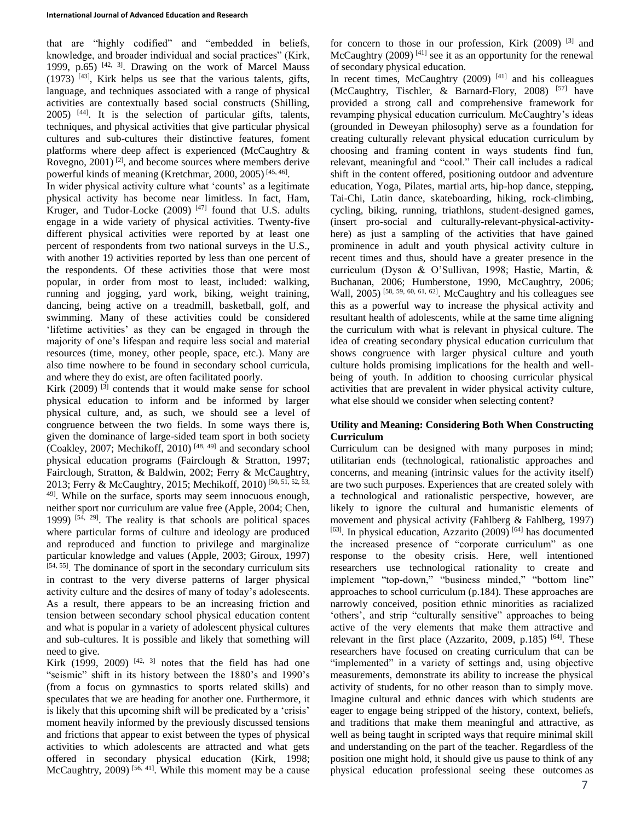that are "highly codified" and "embedded in beliefs, knowledge, and broader individual and social practices" (Kirk, 1999, p.65)  $[42, 3]$ . Drawing on the work of Marcel Mauss  $(1973)$  <sup>[43]</sup>, Kirk helps us see that the various talents, gifts, language, and techniques associated with a range of physical activities are contextually based social constructs (Shilling, 2005) [44] . It is the selection of particular gifts, talents, techniques, and physical activities that give particular physical cultures and sub-cultures their distinctive features, foment platforms where deep affect is experienced (McCaughtry & Rovegno,  $2001$ <sup>[2]</sup>, and become sources where members derive powerful kinds of meaning (Kretchmar, 2000, 2005)<sup>[45, 46]</sup>.

In wider physical activity culture what 'counts' as a legitimate physical activity has become near limitless. In fact, Ham, Kruger, and Tudor-Locke (2009)<sup>[47]</sup> found that U.S. adults engage in a wide variety of physical activities. Twenty-five different physical activities were reported by at least one percent of respondents from two national surveys in the U.S., with another 19 activities reported by less than one percent of the respondents. Of these activities those that were most popular, in order from most to least, included: walking, running and jogging, yard work, biking, weight training, dancing, being active on a treadmill, basketball, golf, and swimming. Many of these activities could be considered 'lifetime activities' as they can be engaged in through the majority of one's lifespan and require less social and material resources (time, money, other people, space, etc.). Many are also time nowhere to be found in secondary school curricula, and where they do exist, are often facilitated poorly.

Kirk  $(2009)$ <sup>[3]</sup> contends that it would make sense for school physical education to inform and be informed by larger physical culture, and, as such, we should see a level of congruence between the two fields. In some ways there is, given the dominance of large-sided team sport in both society (Coakley, 2007; Mechikoff, 2010)<sup>[48, 49]</sup> and secondary school physical education programs (Fairclough & Stratton, 1997; Fairclough, Stratton, & Baldwin, 2002; Ferry & McCaughtry, 2013; Ferry & McCaughtry, 2015; Mechikoff, 2010) [50, 51, 52, 53, 49]. While on the surface, sports may seem innocuous enough, neither sport nor curriculum are value free (Apple, 2004; Chen, 1999)  $[54, 29]$ . The reality is that schools are political spaces where particular forms of culture and ideology are produced and reproduced and function to privilege and marginalize particular knowledge and values (Apple, 2003; Giroux, 1997)  $[54, 55]$ . The dominance of sport in the secondary curriculum sits in contrast to the very diverse patterns of larger physical activity culture and the desires of many of today's adolescents. As a result, there appears to be an increasing friction and tension between secondary school physical education content and what is popular in a variety of adolescent physical cultures and sub-cultures. It is possible and likely that something will need to give.

Kirk (1999, 2009)  $[42, 3]$  notes that the field has had one "seismic" shift in its history between the 1880's and 1990's (from a focus on gymnastics to sports related skills) and speculates that we are heading for another one. Furthermore, it is likely that this upcoming shift will be predicated by a 'crisis' moment heavily informed by the previously discussed tensions and frictions that appear to exist between the types of physical activities to which adolescents are attracted and what gets offered in secondary physical education (Kirk, 1998; McCaughtry,  $2009$ <sup>[56, 41]</sup>. While this moment may be a cause

for concern to those in our profession, Kirk (2009)<sup>[3]</sup> and McCaughtry  $(2009)^{[41]}$  see it as an opportunity for the renewal of secondary physical education.

In recent times, McCaughtry  $(2009)$ <sup>[41]</sup> and his colleagues (McCaughtry, Tischler,  $\&$  Barnard-Flory, 2008)<sup>[57]</sup> have provided a strong call and comprehensive framework for revamping physical education curriculum. McCaughtry's ideas (grounded in Deweyan philosophy) serve as a foundation for creating culturally relevant physical education curriculum by choosing and framing content in ways students find fun, relevant, meaningful and "cool." Their call includes a radical shift in the content offered, positioning outdoor and adventure education, Yoga, Pilates, martial arts, hip-hop dance, stepping, Tai-Chi, Latin dance, skateboarding, hiking, rock-climbing, cycling, biking, running, triathlons, student-designed games, (insert pro-social and culturally-relevant-physical-activityhere) as just a sampling of the activities that have gained prominence in adult and youth physical activity culture in recent times and thus, should have a greater presence in the curriculum (Dyson & O'Sullivan, 1998; Hastie, Martin, & Buchanan, 2006; Humberstone, 1990, McCaughtry, 2006; Wall, 2005)<sup>[58, 59, 60, 61, 62]</sup>. McCaughtry and his colleagues see this as a powerful way to increase the physical activity and resultant health of adolescents, while at the same time aligning the curriculum with what is relevant in physical culture. The idea of creating secondary physical education curriculum that shows congruence with larger physical culture and youth culture holds promising implications for the health and wellbeing of youth. In addition to choosing curricular physical activities that are prevalent in wider physical activity culture, what else should we consider when selecting content?

### **Utility and Meaning: Considering Both When Constructing Curriculum**

Curriculum can be designed with many purposes in mind; utilitarian ends (technological, rationalistic approaches and concerns, and meaning (intrinsic values for the activity itself) are two such purposes. Experiences that are created solely with a technological and rationalistic perspective, however, are likely to ignore the cultural and humanistic elements of movement and physical activity (Fahlberg & Fahlberg, 1997) [63]. In physical education, Azzarito (2009)<sup>[64]</sup> has documented the increased presence of "corporate curriculum" as one response to the obesity crisis. Here, well intentioned researchers use technological rationality to create and implement "top-down," "business minded," "bottom line" approaches to school curriculum (p.184). These approaches are narrowly conceived, position ethnic minorities as racialized 'others', and strip "culturally sensitive" approaches to being active of the very elements that make them attractive and relevant in the first place (Azzarito, 2009, p.185)<sup>[64]</sup>. These researchers have focused on creating curriculum that can be "implemented" in a variety of settings and, using objective measurements, demonstrate its ability to increase the physical activity of students, for no other reason than to simply move. Imagine cultural and ethnic dances with which students are eager to engage being stripped of the history, context, beliefs, and traditions that make them meaningful and attractive, as well as being taught in scripted ways that require minimal skill and understanding on the part of the teacher. Regardless of the position one might hold, it should give us pause to think of any physical education professional seeing these outcomes as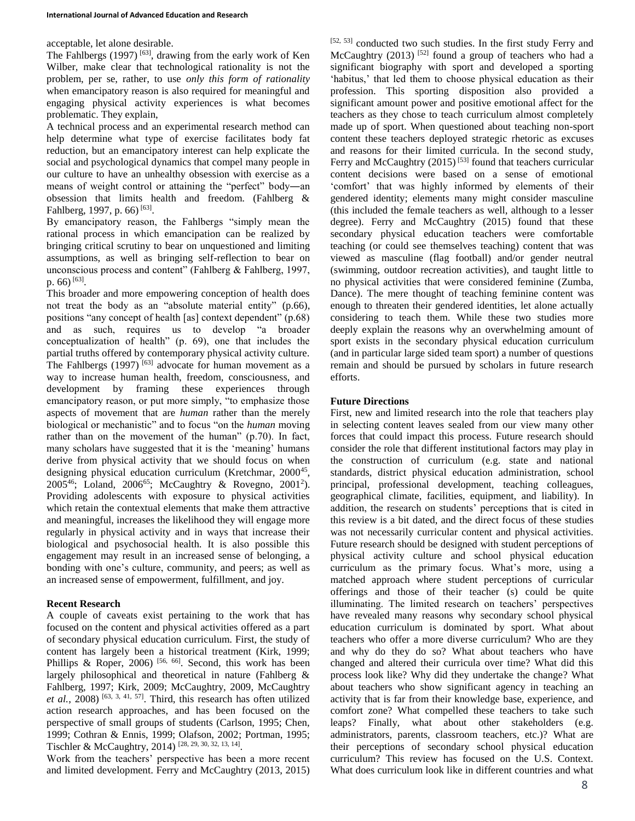acceptable, let alone desirable.

The Fahlbergs  $(1997)$ <sup>[63]</sup>, drawing from the early work of Ken Wilber, make clear that technological rationality is not the problem, per se, rather, to use *only this form of rationality* when emancipatory reason is also required for meaningful and engaging physical activity experiences is what becomes problematic. They explain,

A technical process and an experimental research method can help determine what type of exercise facilitates body fat reduction, but an emancipatory interest can help explicate the social and psychological dynamics that compel many people in our culture to have an unhealthy obsession with exercise as a means of weight control or attaining the "perfect" body―an obsession that limits health and freedom. (Fahlberg & Fahlberg, 1997, p. 66)<sup>[63]</sup>.

By emancipatory reason, the Fahlbergs "simply mean the rational process in which emancipation can be realized by bringing critical scrutiny to bear on unquestioned and limiting assumptions, as well as bringing self-reflection to bear on unconscious process and content" (Fahlberg & Fahlberg, 1997, p. 66)<sup>[63]</sup>.

This broader and more empowering conception of health does not treat the body as an "absolute material entity" (p.66), positions "any concept of health [as] context dependent" (p.68) and as such, requires us to develop "a broader conceptualization of health" (p. 69), one that includes the partial truths offered by contemporary physical activity culture. The Fahlbergs (1997)<sup>[63]</sup> advocate for human movement as a way to increase human health, freedom, consciousness, and development by framing these experiences through emancipatory reason, or put more simply, "to emphasize those aspects of movement that are *human* rather than the merely biological or mechanistic" and to focus "on the *human* moving rather than on the movement of the human" (p.70). In fact, many scholars have suggested that it is the 'meaning' humans derive from physical activity that we should focus on when designing physical education curriculum (Kretchmar, 2000<sup>45</sup>, 2005<sup>46</sup>; Loland, 2006<sup>65</sup>; McCaughtry & Rovegno, 2001<sup>2</sup>). Providing adolescents with exposure to physical activities which retain the contextual elements that make them attractive and meaningful, increases the likelihood they will engage more regularly in physical activity and in ways that increase their biological and psychosocial health. It is also possible this engagement may result in an increased sense of belonging, a bonding with one's culture, community, and peers; as well as an increased sense of empowerment, fulfillment, and joy.

#### **Recent Research**

A couple of caveats exist pertaining to the work that has focused on the content and physical activities offered as a part of secondary physical education curriculum. First, the study of content has largely been a historical treatment (Kirk, 1999; Phillips & Roper, 2006)<sup>[56, 66]</sup>. Second, this work has been largely philosophical and theoretical in nature (Fahlberg & Fahlberg, 1997; Kirk, 2009; McCaughtry, 2009, McCaughtry *et al.*, 2008)  $[63, 3, 41, 57]$ . Third, this research has often utilized action research approaches, and has been focused on the perspective of small groups of students (Carlson, 1995; Chen, 1999; Cothran & Ennis, 1999; Olafson, 2002; Portman, 1995; Tischler & McCaughtry, 2014)<sup>[28, 29, 30, 32, 13, 14]</sup>.

Work from the teachers' perspective has been a more recent and limited development. Ferry and McCaughtry (2013, 2015) [52, 53] conducted two such studies. In the first study Ferry and McCaughtry  $(2013)$ <sup>[52]</sup> found a group of teachers who had a significant biography with sport and developed a sporting 'habitus,' that led them to choose physical education as their profession. This sporting disposition also provided a significant amount power and positive emotional affect for the teachers as they chose to teach curriculum almost completely made up of sport. When questioned about teaching non-sport content these teachers deployed strategic rhetoric as excuses and reasons for their limited curricula. In the second study, Ferry and McCaughtry  $(2015)^{53}$  found that teachers curricular content decisions were based on a sense of emotional 'comfort' that was highly informed by elements of their gendered identity; elements many might consider masculine (this included the female teachers as well, although to a lesser degree). Ferry and McCaughtry (2015) found that these secondary physical education teachers were comfortable teaching (or could see themselves teaching) content that was viewed as masculine (flag football) and/or gender neutral (swimming, outdoor recreation activities), and taught little to no physical activities that were considered feminine (Zumba, Dance). The mere thought of teaching feminine content was enough to threaten their gendered identities, let alone actually considering to teach them. While these two studies more deeply explain the reasons why an overwhelming amount of sport exists in the secondary physical education curriculum (and in particular large sided team sport) a number of questions remain and should be pursued by scholars in future research efforts.

### **Future Directions**

First, new and limited research into the role that teachers play in selecting content leaves sealed from our view many other forces that could impact this process. Future research should consider the role that different institutional factors may play in the construction of curriculum (e.g. state and national standards, district physical education administration, school principal, professional development, teaching colleagues, geographical climate, facilities, equipment, and liability). In addition, the research on students' perceptions that is cited in this review is a bit dated, and the direct focus of these studies was not necessarily curricular content and physical activities. Future research should be designed with student perceptions of physical activity culture and school physical education curriculum as the primary focus. What's more, using a matched approach where student perceptions of curricular offerings and those of their teacher (s) could be quite illuminating. The limited research on teachers' perspectives have revealed many reasons why secondary school physical education curriculum is dominated by sport. What about teachers who offer a more diverse curriculum? Who are they and why do they do so? What about teachers who have changed and altered their curricula over time? What did this process look like? Why did they undertake the change? What about teachers who show significant agency in teaching an activity that is far from their knowledge base, experience, and comfort zone? What compelled these teachers to take such leaps? Finally, what about other stakeholders (e.g. administrators, parents, classroom teachers, etc.)? What are their perceptions of secondary school physical education curriculum? This review has focused on the U.S. Context. What does curriculum look like in different countries and what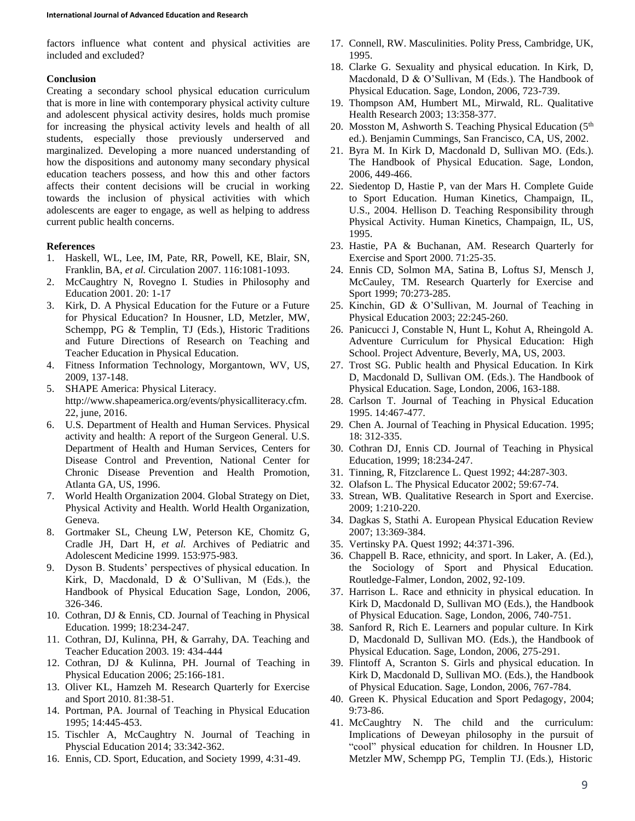factors influence what content and physical activities are included and excluded?

#### **Conclusion**

Creating a secondary school physical education curriculum that is more in line with contemporary physical activity culture and adolescent physical activity desires, holds much promise for increasing the physical activity levels and health of all students, especially those previously underserved and marginalized. Developing a more nuanced understanding of how the dispositions and autonomy many secondary physical education teachers possess, and how this and other factors affects their content decisions will be crucial in working towards the inclusion of physical activities with which adolescents are eager to engage, as well as helping to address current public health concerns.

### **References**

- 1. Haskell, WL, Lee, IM, Pate, RR, Powell, KE, Blair, SN, Franklin, BA, *et al.* Circulation 2007. 116:1081-1093.
- 2. McCaughtry N, Rovegno I. Studies in Philosophy and Education 2001. 20: 1-17
- 3. Kirk, D. A Physical Education for the Future or a Future for Physical Education? In Housner, LD, Metzler, MW, Schempp, PG & Templin, TJ (Eds.), Historic Traditions and Future Directions of Research on Teaching and Teacher Education in Physical Education.
- 4. Fitness Information Technology, Morgantown, WV, US, 2009, 137-148.
- 5. SHAPE America: Physical Literacy. http://www.shapeamerica.org/events/physicalliteracy.cfm. 22, june, 2016.
- 6. U.S. Department of Health and Human Services. Physical activity and health: A report of the Surgeon General. U.S. Department of Health and Human Services, Centers for Disease Control and Prevention, National Center for Chronic Disease Prevention and Health Promotion, Atlanta GA, US, 1996.
- 7. World Health Organization 2004. Global Strategy on Diet, Physical Activity and Health. World Health Organization, Geneva.
- 8. Gortmaker SL, Cheung LW, Peterson KE, Chomitz G, Cradle JH, Dart H, *et al.* Archives of Pediatric and Adolescent Medicine 1999. 153:975-983.
- 9. Dyson B. Students' perspectives of physical education. In Kirk, D, Macdonald, D & O'Sullivan, M (Eds.), the Handbook of Physical Education Sage, London, 2006, 326-346.
- 10. Cothran, DJ & Ennis, CD. Journal of Teaching in Physical Education. 1999; 18:234-247.
- 11. Cothran, DJ, Kulinna, PH, & Garrahy, DA. Teaching and Teacher Education 2003. 19: 434-444
- 12. Cothran, DJ & Kulinna, PH. Journal of Teaching in Physical Education 2006; 25:166-181.
- 13. Oliver KL, Hamzeh M. Research Quarterly for Exercise and Sport 2010. 81:38-51.
- 14. Portman, PA. Journal of Teaching in Physical Education 1995; 14:445-453.
- 15. Tischler A, McCaughtry N. Journal of Teaching in Physcial Education 2014; 33:342-362.
- 16. Ennis, CD. Sport, Education, and Society 1999, 4:31-49.
- 17. Connell, RW. Masculinities. Polity Press, Cambridge, UK, 1995.
- 18. Clarke G. Sexuality and physical education. In Kirk, D, Macdonald, D & O'Sullivan, M (Eds.). The Handbook of Physical Education. Sage, London, 2006, 723-739.
- 19. Thompson AM, Humbert ML, Mirwald, RL. Qualitative Health Research 2003; 13:358-377.
- 20. Mosston M, Ashworth S. Teaching Physical Education  $(5<sup>th</sup>$ ed.). Benjamin Cummings, San Francisco, CA, US, 2002.
- 21. Byra M. In Kirk D, Macdonald D, Sullivan MO. (Eds.). The Handbook of Physical Education. Sage, London, 2006, 449-466.
- 22. Siedentop D, Hastie P, van der Mars H. Complete Guide to Sport Education. Human Kinetics, Champaign, IL, U.S., 2004. Hellison D. Teaching Responsibility through Physical Activity. Human Kinetics, Champaign, IL, US, 1995.
- 23. Hastie, PA & Buchanan, AM. Research Quarterly for Exercise and Sport 2000. 71:25-35.
- 24. Ennis CD, Solmon MA, Satina B, Loftus SJ, Mensch J, McCauley, TM. Research Quarterly for Exercise and Sport 1999; 70:273-285.
- 25. Kinchin, GD & O'Sullivan, M. Journal of Teaching in Physical Education 2003; 22:245-260.
- 26. Panicucci J, Constable N, Hunt L, Kohut A, Rheingold A. Adventure Curriculum for Physical Education: High School. Project Adventure, Beverly, MA, US, 2003.
- 27. Trost SG. Public health and Physical Education. In Kirk D, Macdonald D, Sullivan OM. (Eds.). The Handbook of Physical Education. Sage, London, 2006, 163-188.
- 28. Carlson T. Journal of Teaching in Physical Education 1995. 14:467-477.
- 29. Chen A. Journal of Teaching in Physical Education. 1995; 18: 312-335.
- 30. Cothran DJ, Ennis CD. Journal of Teaching in Physical Education, 1999; 18:234-247.
- 31. Tinning, R, Fitzclarence L. Quest 1992; 44:287-303.
- 32. Olafson L. The Physical Educator 2002; 59:67-74.
- 33. Strean, WB. Qualitative Research in Sport and Exercise. 2009; 1:210-220.
- 34. Dagkas S, Stathi A. European Physical Education Review 2007; 13:369-384.
- 35. Vertinsky PA. Quest 1992; 44:371-396.
- 36. Chappell B. Race, ethnicity, and sport. In Laker, A. (Ed.), the Sociology of Sport and Physical Education. Routledge-Falmer, London, 2002, 92-109.
- 37. Harrison L. Race and ethnicity in physical education. In Kirk D, Macdonald D, Sullivan MO (Eds.), the Handbook of Physical Education. Sage, London, 2006, 740-751.
- 38. Sanford R, Rich E. Learners and popular culture. In Kirk D, Macdonald D, Sullivan MO. (Eds.), the Handbook of Physical Education. Sage, London, 2006, 275-291.
- 39. Flintoff A, Scranton S. Girls and physical education. In Kirk D, Macdonald D, Sullivan MO. (Eds.), the Handbook of Physical Education. Sage, London, 2006, 767-784.
- 40. Green K. Physical Education and Sport Pedagogy, 2004; 9:73-86.
- 41. McCaughtry N. The child and the curriculum: Implications of Deweyan philosophy in the pursuit of "cool" physical education for children. In Housner LD, Metzler MW, Schempp PG, Templin TJ. (Eds.), Historic